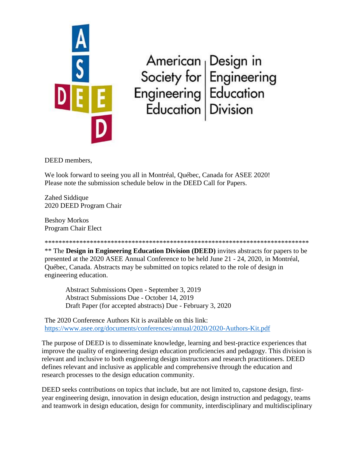

American<br>
Society for<br>
Engineering<br>
Engineering<br>
Education<br>
Education<br>
Division

DEED members,

We look forward to seeing you all in Montréal, Québec, Canada for ASEE 2020! Please note the submission schedule below in the DEED Call for Papers.

Zahed Siddique 2020 DEED Program Chair

Beshoy Morkos Program Chair Elect

\*\*\*\*\*\*\*\*\*\*\*\*\*\*\*\*\*\*\*\*\*\*\*\*\*\*\*\*\*\*\*\*\*\*\*\*\*\*\*\*\*\*\*\*\*\*\*\*\*\*\*\*\*\*\*\*\*\*\*\*\*\*\*\*\*\*\*\*\*\*\*\*\*\*\*\* \*\* The **Design in Engineering Education Division (DEED)** invites abstracts for papers to be presented at the 2020 ASEE Annual Conference to be held June 21 - 24, 2020, in Montréal, Québec, Canada. Abstracts may be submitted on topics related to the role of design in engineering education.

Abstract Submissions Open - September 3, 2019 Abstract Submissions Due - October 14, 2019 Draft Paper (for accepted abstracts) Due - February 3, 2020

The 2020 Conference Authors Kit is available on this link: <https://www.asee.org/documents/conferences/annual/2020/2020-Authors-Kit.pdf>

The purpose of DEED is to disseminate knowledge, learning and best-practice experiences that improve the quality of engineering design education proficiencies and pedagogy. This division is relevant and inclusive to both engineering design instructors and research practitioners. DEED defines relevant and inclusive as applicable and comprehensive through the education and research processes to the design education community.

DEED seeks contributions on topics that include, but are not limited to, capstone design, firstyear engineering design, innovation in design education, design instruction and pedagogy, teams and teamwork in design education, design for community, interdisciplinary and multidisciplinary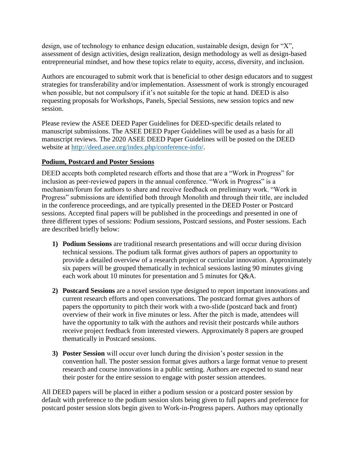design, use of technology to enhance design education, sustainable design, design for "X", assessment of design activities, design realization, design methodology as well as design-based entrepreneurial mindset, and how these topics relate to equity, access, diversity, and inclusion.

Authors are encouraged to submit work that is beneficial to other design educators and to suggest strategies for transferability and/or implementation. Assessment of work is strongly encouraged when possible, but not compulsory if it's not suitable for the topic at hand. DEED is also requesting proposals for Workshops, Panels, Special Sessions, new session topics and new session.

Please review the ASEE DEED Paper Guidelines for DEED-specific details related to manuscript submissions. The ASEE DEED Paper Guidelines will be used as a basis for all manuscript reviews. The 2020 ASEE DEED Paper Guidelines will be posted on the DEED website at [http://deed.asee.org/index.php/conference-info/.](http://deed.asee.org/index.php/conference-info/)

## **Podium, Postcard and Poster Sessions**

DEED accepts both completed research efforts and those that are a "Work in Progress" for inclusion as peer-reviewed papers in the annual conference. "Work in Progress" is a mechanism/forum for authors to share and receive feedback on preliminary work. "Work in Progress" submissions are identified both through Monolith and through their title, are included in the conference proceedings, and are typically presented in the DEED Poster or Postcard sessions. Accepted final papers will be published in the proceedings and presented in one of three different types of sessions: Podium sessions, Postcard sessions, and Poster sessions. Each are described briefly below:

- **1) Podium Sessions** are traditional research presentations and will occur during division technical sessions. The podium talk format gives authors of papers an opportunity to provide a detailed overview of a research project or curricular innovation. Approximately six papers will be grouped thematically in technical sessions lasting 90 minutes giving each work about 10 minutes for presentation and 5 minutes for Q&A.
- **2) Postcard Sessions** are a novel session type designed to report important innovations and current research efforts and open conversations. The postcard format gives authors of papers the opportunity to pitch their work with a two-slide (postcard back and front) overview of their work in five minutes or less. After the pitch is made, attendees will have the opportunity to talk with the authors and revisit their postcards while authors receive project feedback from interested viewers. Approximately 8 papers are grouped thematically in Postcard sessions.
- **3) Poster Session** will occur over lunch during the division's poster session in the convention hall. The poster session format gives authors a large format venue to present research and course innovations in a public setting. Authors are expected to stand near their poster for the entire session to engage with poster session attendees.

All DEED papers will be placed in either a podium session or a postcard poster session by default with preference to the podium session slots being given to full papers and preference for postcard poster session slots begin given to Work-in-Progress papers. Authors may optionally